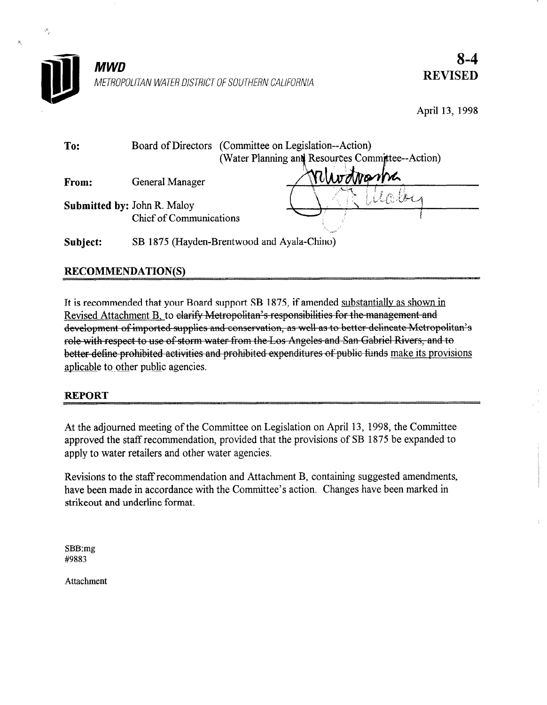

8-4 REVISED

April 13, 1998

| To:      |                                                               | Board of Directors (Committee on Legislation--Action)<br>(Water Planning and Resources Committee--Action) |  |
|----------|---------------------------------------------------------------|-----------------------------------------------------------------------------------------------------------|--|
| From:    | General Manager                                               | relundvanna                                                                                               |  |
|          | <b>Submitted by: John R. Maloy</b><br>Chief of Communications | URILI                                                                                                     |  |
| Subject: |                                                               | SB 1875 (Hayden-Brentwood and Ayala-Chino)                                                                |  |

# RECOMMENDATION(S)

 $I_1$  is recommended that  $I_2$  is recommended support  $I_2$  is a shown in a shown in a shown in a shown in a shown in a shown in a shown in a shown in a shown in a shown in a shown in a shown in a shown in a shown in a s It is recommended that your Board support SB 1875, if amend development of imported supplies and conservation, as well as to better delineate Metropolitan's role with respect to use of storm water from the Los Angeles and San Gabriel Rivers, and to better define prohibited activities and prohibited expenditures of public funds make its provisions aplicable to other public agencies.

### REPORT

 $\hat{\beta}_\gamma$ 

ä,

At the adjourned meeting of the Committee on Legislation on April 13, 1998, the Committee At the adjourned meeting of the Committee on Legislation on April 13, 1998, the Committee approved the staff recommendation, provided that the provisions of SB 1875 be expanded to apply to water retailers and other water agencies.

Revisions to the staff recommendation and Attachment B, containing suggested amendment have been made in accordance with the Committee's action. Changes have been marked in strikeout and underline format.

SBB:mg #9883

Attachment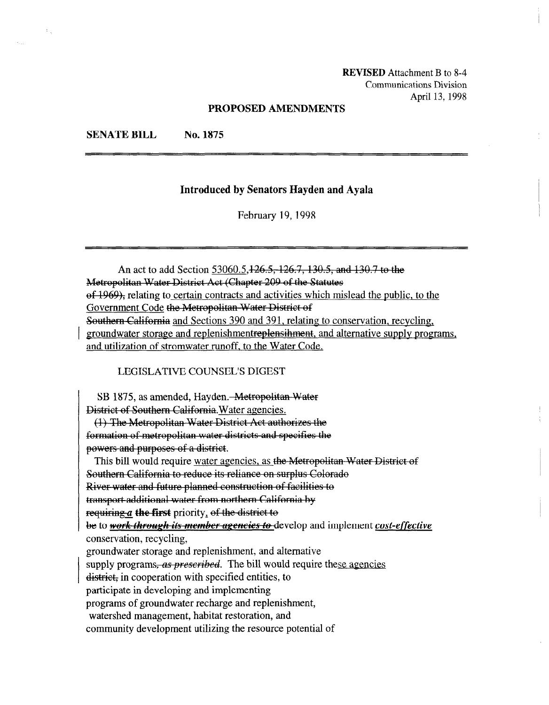REVISED Attachment B to 8-4 Communications Division April 13, 1998

#### PROPOSED AMENDMENTS

#### SENATE BILL No. 1875

#### Introduced by Senators Hayden and Ayala

February 19,1998

An act to add Section 53060.5, 126.5, 126.7, 130.5, and 130.7 to the of 1969), relating to certain contracts and activities which mislead the public, to the Sovernment Code the Metropolitan Water District of Southern California and Sections 390 and 391, relating to conservation, recycling, groundwater storage and replenishmentreplensihment, and alternative supply programs, and utilization of stromwater runoff, to the Water Code.

LEGISLATIVE COUNSEL'S DIGEST

SB 1875, as amended, Hayden. Metropolitan (1) The Metropolitan Water District Act authorizes the formation of metropolitan water districts and specifies the powers and purposes of a district.<br>This bill would require water agencies, as the Metropolitan Water District of Southern California to reduce its reliance on surplus Colorado River water and future planned construction of facilities to transport additional water from northern California by requiring  $a$  the first priority, of the district to be to work through its member agencies to develop and implement cost-effective conservation, recycling, groundwater storage and replenishment, and alternative supply programs, as prescribed. The bill would require these agencies district, in cooperation with specified entities, to participate in developing and implementing programs of groundwater recharge and replenishment, watershed management, habitat restoration, and community development utilizing the resource potential of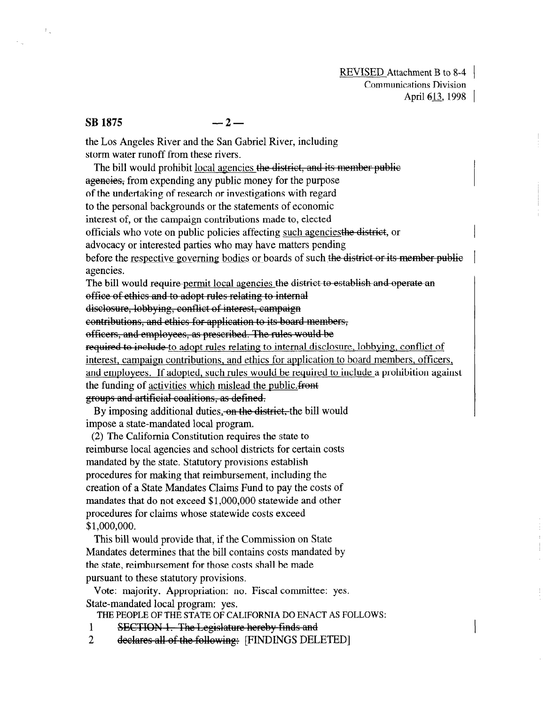## $SB$  1875 -2-

 $\mathbb{Z}_n$ 

the Los Angeles River and the San Gabriel River, including storm water runoff from these rivers.

The bill would prohibit local agencies the district, and its member public ageneies, from expending any public money for the purpose of the undertaking of research or investigations with regard to the personal backgrounds or the statements of economic interest of, or the campaign contributions made to, elected officials who vote on public policies affecting such agencies the district, or advocacy or interested parties who may have matters pending before the respective governing bodies or boards of such the district or its member public agencies. The bill would require permit local agencies the district to establish and operate an office of ethics and to adopt rules relating to internal disclosure, lobbying, conflict of interest, campaign contributions, and ethics for application to its board members, officers, and employees, as prescribed. The rules would be required to include to adopt rules relating to internal disclosure, lobbying, conflict of interest to b cruce <u>to applicate for and product and exposure</u>, <u>root fine</u>, contribution meetest, campaign contributions, and cures for approactor to obtain members, orrieers, and employees. If adopted, such rules would be required to include a prohibition against the funding of activities which mislead the public.front groups and artificial coalitions, as defined. he bill would

 $\sim$  by imposing additional duties.  $\frac{m}{2}$ impose a state-mandated local program.

 $(2)$  The California Constitution requires the state to reimburse local agencies and school districts for certain costs mandated by the state. Statutory provisions establish procedures for making that reimburs ement, including the creation of a State Mandates Claims Fund to pay the costs of mandates that do not exceed \$1,000,000 statewide and other procedures for claims whose statewide costs exceed  $$1,000,000.$ 

This bill would provide that, if the Commission on State Mandates determines that the bill contains costs mandated by the state, reimbursement for those costs shall be made pursuant to these statutory provisions.

Vote: majority. Appropriation: no. Fiscal committee: yes. State-mandated local program: yes.

THE PEOPLE OF THE STATE OF CALIFORNIA DO ENACT AS FOLLOWS:

- 1 SECTION 1. The Legislature hereby finds and
- $\overline{2}$ declares all of the following: [FINDINGS DELETED]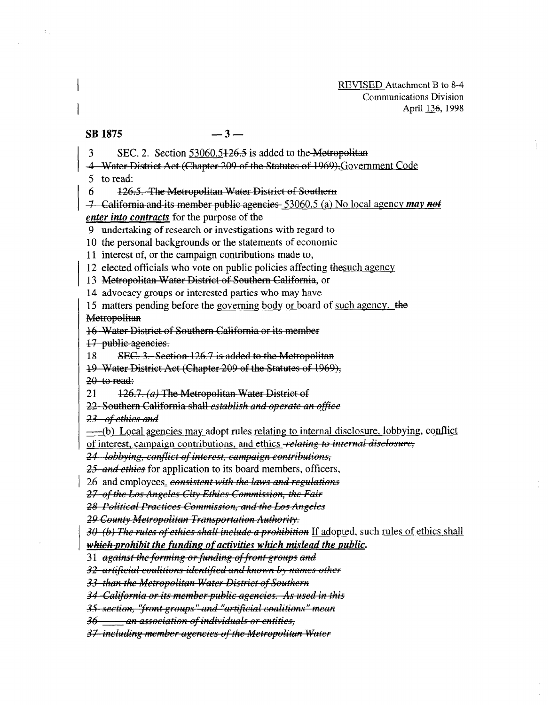#### $\overline{\text{SB}}$  1875  $-3-$

 $\sigma_{\rm{th}}$ 

 $3$  SEC. 2. Section 53060.5426.5 is added to the Metropolitan

4 Water District Act (Chapter 209 of the Statutes of 1969), Government Code

5 to read:

6

6  $\pm$  126.5. The Metropolitan Water District of Southern<br>  $\pm$  California and its member public agencies 53060.5 (a) No local agency may not enter into contracts for the purpose of the

9 undertaking of research or investigations with regard to

10 the personal backgrounds or the statements of economic

11 interest of, or the campaign contributions made to,

12 elected officials who vote on public policies affecting the such agency

13 Metropolitan Water District of Southern California, or

14 advocacy groups or interested parties who may have

15 matters pending before the governing body or board of such agency. the Metropolitan

16 Water District of Southern California or its member

17 public agencies.

18 SEC. 3. Section 126.7 is added to the Metropolitan

19 Water District Act (Chapter 209 of the Statutes of 1969),

 $20$  to read:

126.7. (a) The Metropolitan Water District of 21

22 Southern California shall establish and operate an office

23 of ethics and

----(b) Local agencies may adopt rules relating to internal disclosure, lobbying, conflict

of interest, campaign contributions, and ethics relating to internal disclosure,

24 lobbying, conflict of interest, campaign contributions,

25 and ethics for application to its board members, officers,

26 and employees, consistent with the laws and regulations

27 of the Los Angeles City Ethics Commission, the Fair

28 Political Practices Commission, and the Los Angeles

<del>29 County Metropolitan Transportation Authority.</del><br>30–(b) The rules of ethics shall include a prohibition If adopted, such rules of ethics shall

which-prohibit the funding of activities which mislead the public.

31 against the forming or funding of front groups and

32 artificial coalitions identified and known by names other

33 than the Metropolitan Water District of Southern

34 California or its member public agencies. As used in this

35 section. "front groups" and "artificial coalitions" mean

36 an association of individuals or entities,

37-including member agencies of the Metropolitan Water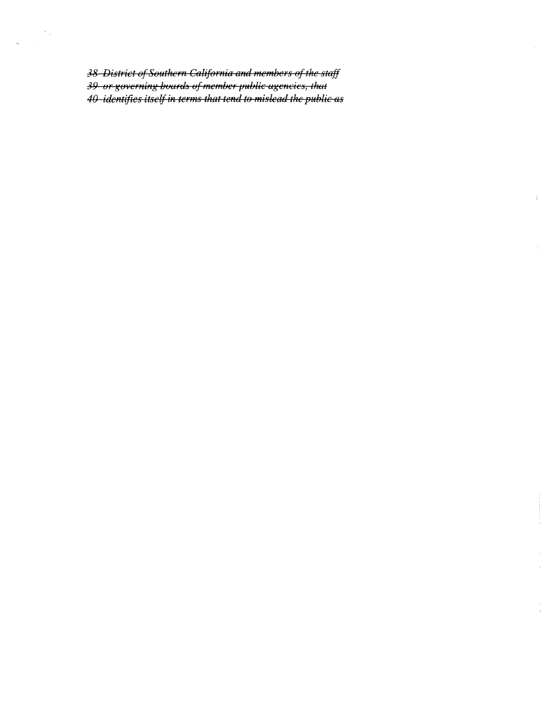38 District of Southern California and members of the staff 39 or governing boards of member public agencies, that 40-identifies itself in terms that tend to mislead the public as

 $\ddot{1}$ 

 $\frac{1}{4}$ 

 $\langle x_{\star} \rangle$  $\bar{\bar{z}}$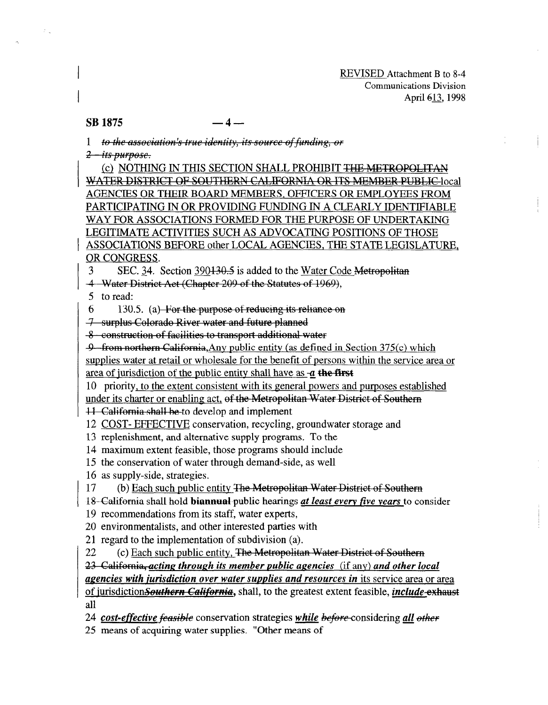REVISED Attachment B to 8-4 Communications Division April 613, 1998

## $SB$  1875  $-4$

1 to the association's true identity, its source of funding, or

<del>2 - its purpose.</del>

 $\mathcal{L}^{(1)}$ 

(c) NOTHING IN THIS SECTION SHALL PROHIBIT THE METROPOLITAN WATER DISTRICT OF SOUTHERN CALIFORNIA OR ITS MEMBER PUBLIC local AGENCIES OR THEIR BOARD MEMBERS, OFFICERS OR EMPLOYEES FROM PARTICIPATING IN OR PROVIDING FUNDING IN A CLEARLY IDENTIFIABLE WAY FOR ASSOCIATIONS FORMED FOR THE PURPOSE OF UNDERTAKING LEGITIMATE ACTIVITIES SUCH AS ADVOCATING POSITIONS OF THOSE ASSOCIATIONS BEFORE other LOCAL AGENCIES, THE STATE LEGISLATURE, OR CONGRESS.

3 SEC. 34. Section 390130.5 is added to the Water Code Metropolitan

4 Water District Act (Chapter 209 of the Statutes of 1969),<br>5 to read:

 $6.$  130.5. (a) For the purpose of reducing its reliance on

7 surplus Colorado River water and future planned

-8 construction of facilities to transport additional water<br>-9 from northern California, Any public entity (as defined in Section 375(c) which

supplies water at retail or wholesale for the benefit of persons within the service area or area of jurisdiction of the public entity shall have as  $-a$  the first

10 priority, to the extent consistent with its general powers and purposes established  $\frac{1}{2}$  in errority, to the extent consistent with its general powers and purposes established

under its charter or enabling act, of the Metropolitan Water District of Southern

11 California shall be to develop and implement

12 COST- EFFECTIVE conservation, recycling, groundwater storage and

13 replenishment, and alternative supply programs. To the

14 maximum extent feasible, those programs should include

15 the conservation of water through demand-side, as well

16 as supply-side, strategies.<br>17. (b) Each such public entity

(b) Each such public entity The Metropolitan Water District of Southern

18 California shall hold-biannual-public hearings at least every five years to consider

19 recommendations from its staff, water experts,

20 environmentalists, and other interested parties with

21 regard to the implementation of subdivision (a).<br>22 (c) Each such public entity, The Metropolita

(c) Each such public entity, The Metropolitan Water District of Southern

23 California, acting through its member public agencies (if any) and other local

agencies with jurisdiction over water supplies and resources in its service area or area of jurisdiction Southern California, shall, to the greatest extent feasible, *include*-exhaust

 $24$  cost-effective- conservation strategies while kinetic kinetic  $\mathcal{L}_{\mathcal{A}}$  and  $\mathcal{L}_{\mathcal{A}}$ 

24 cost-effective feasible conservation strategies while before considering all other

25 means of acquiring water supplies. "Other means of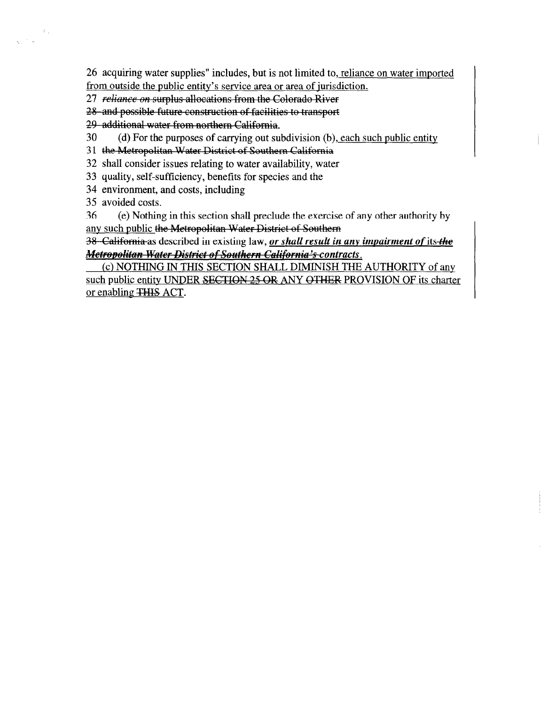26 acquiring water supplies" includes, but is not limited to, reliance on. water imported from outside the public entitv's service area or area of iurisdiction.

27 reliance on surplus allocations from the Colorado River

28 and possible future construction of facilities to transport

29 additional water from northern California.

30 (d) For the purposes of carrying out subdivision (b), each such public entity

31 the Metropolitan Water District of Southern California

32 shall consider issues relating to water availability, water

33 quality, self-sufficiency, benefits for species and the

34 environment, and costs, including

35 avoided costs.

 $\mathcal{L}_\infty$ 

36 (e) Nothing in this section shall preclude the exercise of any other authority by any such public the Metropolitan Water District of Southern

38 California as described in existing law, <u>or shall result in any impairment of its the</u> *Metropolitan Water District of Southern California's contracts.*<br>(c) NOTHING IN THIS SECTION SHALL DIMINISH THE AUTHORITY of any

such public entity UNDER SECTION 25 OR ANY OTHER PROVISION OF its charter or enabling THIS ACT.